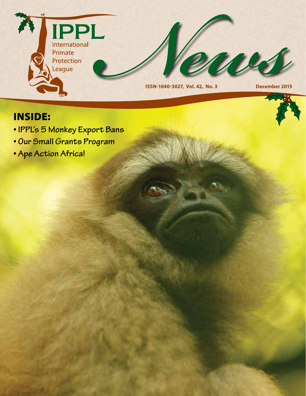

## INSIDE:

- **IPPL's 5 Monkey Export Bans**
- **Our Small Grants Program**
- **Ape Action Africa!**